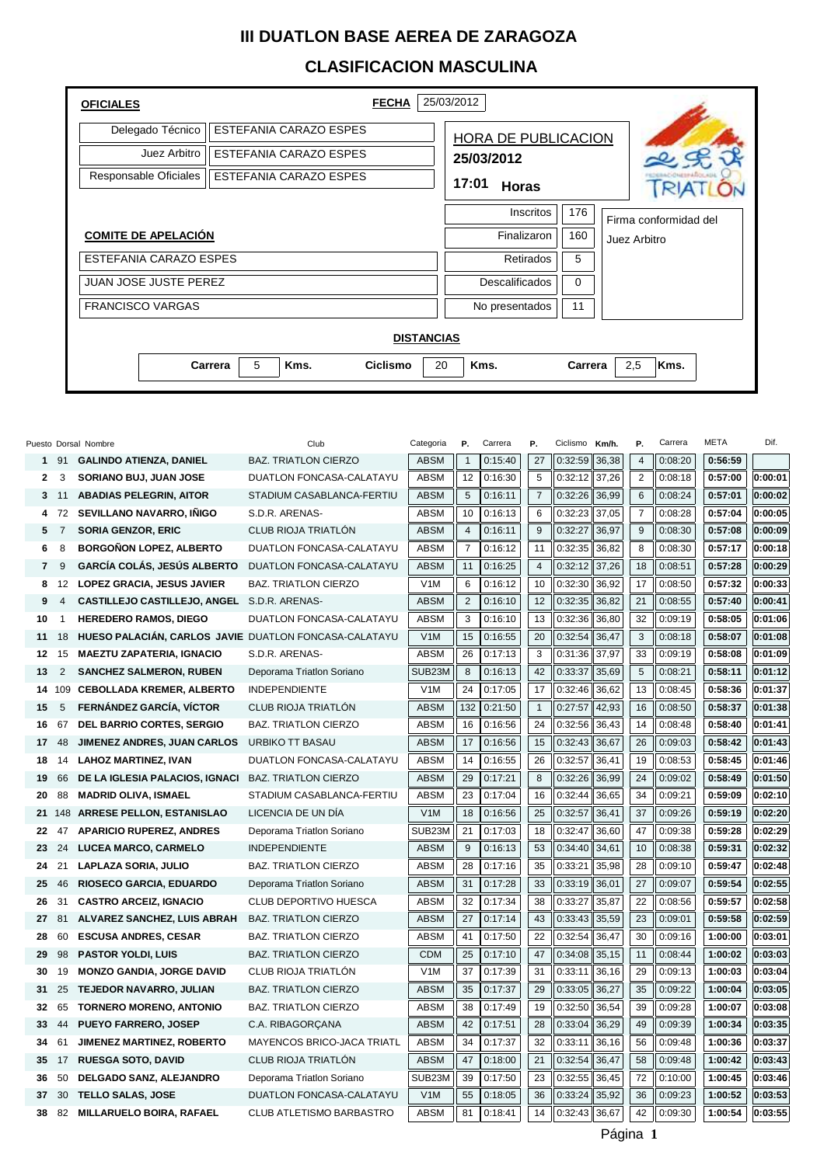## **III DUATLON BASE AEREA DE ZARAGOZA**

## **CLASIFICACION MASCULINA**

| <b>OFICIALES</b>              | <b>FECHA</b>                            | 25/03/2012            |                       |             |  |  |  |  |  |  |
|-------------------------------|-----------------------------------------|-----------------------|-----------------------|-------------|--|--|--|--|--|--|
| Delegado Técnico              | <b>ESTEFANIA CARAZO ESPES</b>           | HORA DE PUBLICACION   |                       |             |  |  |  |  |  |  |
| Juez Arbitro                  | <b>ESTEFANIA CARAZO ESPES</b>           | 25/03/2012            |                       |             |  |  |  |  |  |  |
| Responsable Oficiales         | <b>ESTEFANIA CARAZO ESPES</b>           | 17:01<br><b>Horas</b> |                       |             |  |  |  |  |  |  |
|                               |                                         | Inscritos             | Firma conformidad del |             |  |  |  |  |  |  |
| <b>COMITE DE APELACIÓN</b>    | Finalizaron                             | Juez Arbitro          |                       |             |  |  |  |  |  |  |
| <b>ESTEFANIA CARAZO ESPES</b> | Retirados                               | 5                     |                       |             |  |  |  |  |  |  |
| <b>JUAN JOSE JUSTE PEREZ</b>  | <b>Descalificados</b>                   | $\Omega$              |                       |             |  |  |  |  |  |  |
| <b>FRANCISCO VARGAS</b>       |                                         | No presentados        | 11                    |             |  |  |  |  |  |  |
| <b>DISTANCIAS</b>             |                                         |                       |                       |             |  |  |  |  |  |  |
|                               | 5<br>Kms.<br><b>Ciclismo</b><br>Carrera | 20<br>Kms.            | Carrera               | 2,5<br>Kms. |  |  |  |  |  |  |
|                               |                                         |                       |                       |             |  |  |  |  |  |  |

|                |                | Puesto Dorsal Nombre                                  | Club                        | Categoria   | Ρ.             | Carrera | Р.             | Ciclismo | Km/h. | Ρ.             | Carrera | META    | Dif.    |
|----------------|----------------|-------------------------------------------------------|-----------------------------|-------------|----------------|---------|----------------|----------|-------|----------------|---------|---------|---------|
|                | 1 91           | <b>GALINDO ATIENZA, DANIEL</b>                        | <b>BAZ. TRIATLON CIERZO</b> | <b>ABSM</b> | $\overline{1}$ | 0:15:40 | 27             | 0:32:59  | 36,38 | $\overline{4}$ | 0:08:20 | 0:56:59 |         |
| $\overline{2}$ | 3              | SORIANO BUJ, JUAN JOSE                                | DUATLON FONCASA-CALATAYU    | <b>ABSM</b> | 12             | 0:16:30 | 5              | 0:32:12  | 37.26 | 2              | 0:08:18 | 0:57:00 | 0:00:01 |
| 3              | 11             | <b>ABADIAS PELEGRIN, AITOR</b>                        | STADIUM CASABLANCA-FERTIU   | <b>ABSM</b> | 5              | 0:16:11 | $\overline{7}$ | 0:32:26  | 36,99 | 6              | 0:08:24 | 0:57:01 | 0:00:02 |
| 4              | 72             | SEVILLANO NAVARRO, IÑIGO                              | S.D.R. ARENAS-              | <b>ABSM</b> | 10             | 0:16:13 | 6              | 0:32:23  | 37,05 | $\overline{7}$ | 0:08:28 | 0:57:04 | 0:00:05 |
| 5              | $\overline{7}$ | <b>SORIA GENZOR, ERIC</b>                             | <b>CLUB RIOJA TRIATLON</b>  | <b>ABSM</b> | $\overline{4}$ | 0:16:11 | 9              | 0:32:27  | 36,97 | 9              | 0:08:30 | 0:57:08 | 0:00:09 |
| 6              | 8              | <b>BORGOÑON LOPEZ, ALBERTO</b>                        | DUATLON FONCASA-CALATAYU    | <b>ABSM</b> | $\overline{7}$ | 0:16:12 | 11             | 0:32:35  | 36,82 | 8              | 0:08:30 | 0:57:17 | 0:00:18 |
| $\overline{7}$ | 9              | <b>GARCÍA COLÁS, JESÚS ALBERTO</b>                    | DUATLON FONCASA-CALATAYU    | <b>ABSM</b> | 11             | 0:16:25 | $\overline{4}$ | 0:32:12  | 37,26 | 18             | 0:08:51 | 0:57:28 | 0:00:29 |
| 8              | 12             | LOPEZ GRACIA, JESUS JAVIER                            | <b>BAZ. TRIATLON CIERZO</b> | V1M         | 6              | 0:16:12 | 10             | 0:32:30  | 36,92 | 17             | 0:08:50 | 0:57:32 | 0:00:33 |
| 9              | $\overline{4}$ | <b>CASTILLEJO CASTILLEJO, ANGEL</b>                   | S.D.R. ARENAS-              | <b>ABSM</b> | $\overline{2}$ | 0:16:10 | 12             | 0:32:35  | 36,82 | 21             | 0:08:55 | 0:57:40 | 0:00:41 |
| 10             | $\mathbf{1}$   | <b>HEREDERO RAMOS, DIEGO</b>                          | DUATLON FONCASA-CALATAYU    | <b>ABSM</b> | 3              | 0:16:10 | 13             | 0:32:36  | 36,80 | 32             | 0:09:19 | 0:58:05 | 0:01:06 |
| 11             | 18             | HUESO PALACIÁN, CARLOS JAVIE DUATLON FONCASA-CALATAYU |                             | V1M         | 15             | 0:16:55 | 20             | 0:32:54  | 36,47 | 3              | 0:08:18 | 0:58:07 | 0:01:08 |
| 12             | 15             | <b>MAEZTU ZAPATERIA, IGNACIO</b>                      | S.D.R. ARENAS-              | <b>ABSM</b> | 26             | 0:17:13 | 3              | 0:31:36  | 37.97 | 33             | 0:09:19 | 0:58:08 | 0:01:09 |
| 13             | $\overline{2}$ | <b>SANCHEZ SALMERON, RUBEN</b>                        | Deporama Triatlon Soriano   | SUB23M      | 8              | 0:16:13 | 42             | 0:33:37  | 35,69 | 5              | 0:08:21 | 0:58:11 | 0:01:12 |
| 14             |                | 109 CEBOLLADA KREMER, ALBERTO                         | <b>INDEPENDIENTE</b>        | V1M         | 24             | 0:17:05 | 17             | 0:32:46  | 36,62 | 13             | 0:08:45 | 0:58:36 | 0:01:37 |
| 15             | 5              | <b>FERNÁNDEZ GARCÍA, VÍCTOR</b>                       | <b>CLUB RIOJA TRIATLON</b>  | <b>ABSM</b> | 132            | 0:21:50 | $\mathbf{1}$   | 0:27:57  | 42,93 | 16             | 0:08:50 | 0:58:37 | 0:01:38 |
| 16             | 67             | <b>DEL BARRIO CORTES, SERGIO</b>                      | <b>BAZ. TRIATLON CIERZO</b> | <b>ABSM</b> | 16             | 0:16:56 | 24             | 0:32:56  | 36,43 | 14             | 0:08:48 | 0:58:40 | 0:01:41 |
| 17             | 48             | JIMENEZ ANDRES, JUAN CARLOS                           | <b>URBIKO TT BASAU</b>      | <b>ABSM</b> | 17             | 0:16:56 | 15             | 0:32:43  | 36,67 | 26             | 0:09:03 | 0:58:42 | 0:01:43 |
| 18             | 14             | <b>LAHOZ MARTINEZ, IVAN</b>                           | DUATLON FONCASA-CALATAYU    | <b>ABSM</b> | 14             | 0:16:55 | 26             | 0:32:57  | 36,41 | 19             | 0:08:53 | 0:58:45 | 0:01:46 |
| 19             | 66             | DE LA IGLESIA PALACIOS, IGNACI                        | <b>BAZ. TRIATLON CIERZO</b> | <b>ABSM</b> | 29             | 0:17:21 | 8              | 0:32:26  | 36,99 | 24             | 0:09:02 | 0:58:49 | 0:01:50 |
| 20             | 88             | <b>MADRID OLIVA, ISMAEL</b>                           | STADIUM CASABLANCA-FERTIU   | <b>ABSM</b> | 23             | 0:17:04 | 16             | 0:32:44  | 36,65 | 34             | 0:09:21 | 0:59:09 | 0:02:10 |
| 21             | 148            | <b>ARRESE PELLON, ESTANISLAO</b>                      | LICENCIA DE UN DÍA          | V1M         | 18             | 0:16:56 | 25             | 0:32:57  | 36,41 | 37             | 0:09:26 | 0:59:19 | 0:02:20 |
| 22             | 47             | <b>APARICIO RUPEREZ, ANDRES</b>                       | Deporama Triatlon Soriano   | SUB23M      | 21             | 0:17:03 | 18             | 0:32:47  | 36.60 | 47             | 0:09:38 | 0:59:28 | 0:02:29 |
| 23             | 24             | <b>LUCEA MARCO, CARMELO</b>                           | <b>INDEPENDIENTE</b>        | <b>ABSM</b> | 9              | 0:16:13 | 53             | 0:34:40  | 34,61 | 10             | 0:08:38 | 0:59:31 | 0:02:32 |
| 24             | 21             | <b>LAPLAZA SORIA, JULIO</b>                           | <b>BAZ. TRIATLON CIERZO</b> | <b>ABSM</b> | 28             | 0:17:16 | 35             | 0:33:21  | 35,98 | 28             | 0:09:10 | 0:59:47 | 0:02:48 |
| 25             | 46             | <b>RIOSECO GARCIA, EDUARDO</b>                        | Deporama Triatlon Soriano   | <b>ABSM</b> | 31             | 0:17:28 | 33             | 0:33:19  | 36,01 | 27             | 0:09:07 | 0:59:54 | 0:02:55 |
| 26             | 31             | <b>CASTRO ARCEIZ, IGNACIO</b>                         | CLUB DEPORTIVO HUESCA       | <b>ABSM</b> | 32             | 0:17:34 | 38             | 0:33:27  | 35.87 | 22             | 0:08:56 | 0:59:57 | 0:02:58 |
| 27             | 81             | ALVAREZ SANCHEZ, LUIS ABRAH                           | <b>BAZ. TRIATLON CIERZO</b> | <b>ABSM</b> | 27             | 0:17:14 | 43             | 0:33:43  | 35,59 | 23             | 0:09:01 | 0:59:58 | 0:02:59 |
| 28             | 60             | <b>ESCUSA ANDRES, CESAR</b>                           | <b>BAZ. TRIATLON CIERZO</b> | <b>ABSM</b> | 41             | 0:17:50 | 22             | 0:32:54  | 36,47 | 30             | 0:09:16 | 1:00:00 | 0:03:01 |
| 29             | 98             | <b>PASTOR YOLDI, LUIS</b>                             | <b>BAZ. TRIATLON CIERZO</b> | <b>CDM</b>  | 25             | 0:17:10 | 47             | 0:34:08  | 35,15 | 11             | 0:08:44 | 1:00:02 | 0:03:03 |
| 30             | 19             | <b>MONZO GANDIA, JORGE DAVID</b>                      | CLUB RIOJA TRIATLÓN         | V1M         | 37             | 0:17:39 | 31             | 0:33:11  | 36,16 | 29             | 0:09:13 | 1:00:03 | 0:03:04 |
| 31             | 25             | <b>TEJEDOR NAVARRO, JULIAN</b>                        | <b>BAZ. TRIATLON CIERZO</b> | <b>ABSM</b> | 35             | 0:17:37 | 29             | 0:33:05  | 36,27 | 35             | 0:09:22 | 1:00:04 | 0:03:05 |
| 32             | 65             | <b>TORNERO MORENO, ANTONIO</b>                        | <b>BAZ. TRIATLON CIERZO</b> | <b>ABSM</b> | 38             | 0:17:49 | 19             | 0:32:50  | 36,54 | 39             | 0:09:28 | 1:00:07 | 0:03:08 |
| 33             | 44             | <b>PUEYO FARRERO, JOSEP</b>                           | C.A. RIBAGORÇANA            | <b>ABSM</b> | 42             | 0:17:51 | 28             | 0:33:04  | 36,29 | 49             | 0:09:39 | 1:00:34 | 0:03:35 |
| 34             | 61             | <b>JIMENEZ MARTINEZ, ROBERTO</b>                      | MAYENCOS BRICO-JACA TRIATL  | <b>ABSM</b> | 34             | 0:17:37 | 32             | 0:33:11  | 36,16 | 56             | 0:09:48 | 1:00:36 | 0:03:37 |
| 35             | 17             | <b>RUESGA SOTO, DAVID</b>                             | CLUB RIOJA TRIATLÓN         | <b>ABSM</b> | 47             | 0:18:00 | 21             | 0:32:54  | 36,47 | 58             | 0:09:48 | 1:00:42 | 0:03:43 |
| 36             | 50             | <b>DELGADO SANZ, ALEJANDRO</b>                        | Deporama Triatlon Soriano   | SUB23M      | 39             | 0:17:50 | 23             | 0:32:55  | 36,45 | 72             | 0:10:00 | 1:00:45 | 0:03:46 |
| 37             | 30             | <b>TELLO SALAS, JOSE</b>                              | DUATLON FONCASA-CALATAYU    | V1M         | 55             | 0:18:05 | 36             | 0:33:24  | 35,92 | 36             | 0:09:23 | 1:00:52 | 0:03:53 |
| 38             |                | 82 MILLARUELO BOIRA, RAFAEL                           | CLUB ATLETISMO BARBASTRO    | <b>ABSM</b> | 81             | 0:18:41 | 14             | 0:32:43  | 36,67 | 42             | 0:09:30 | 1:00:54 | 0:03:55 |
|                |                |                                                       |                             |             |                |         |                |          |       |                |         |         |         |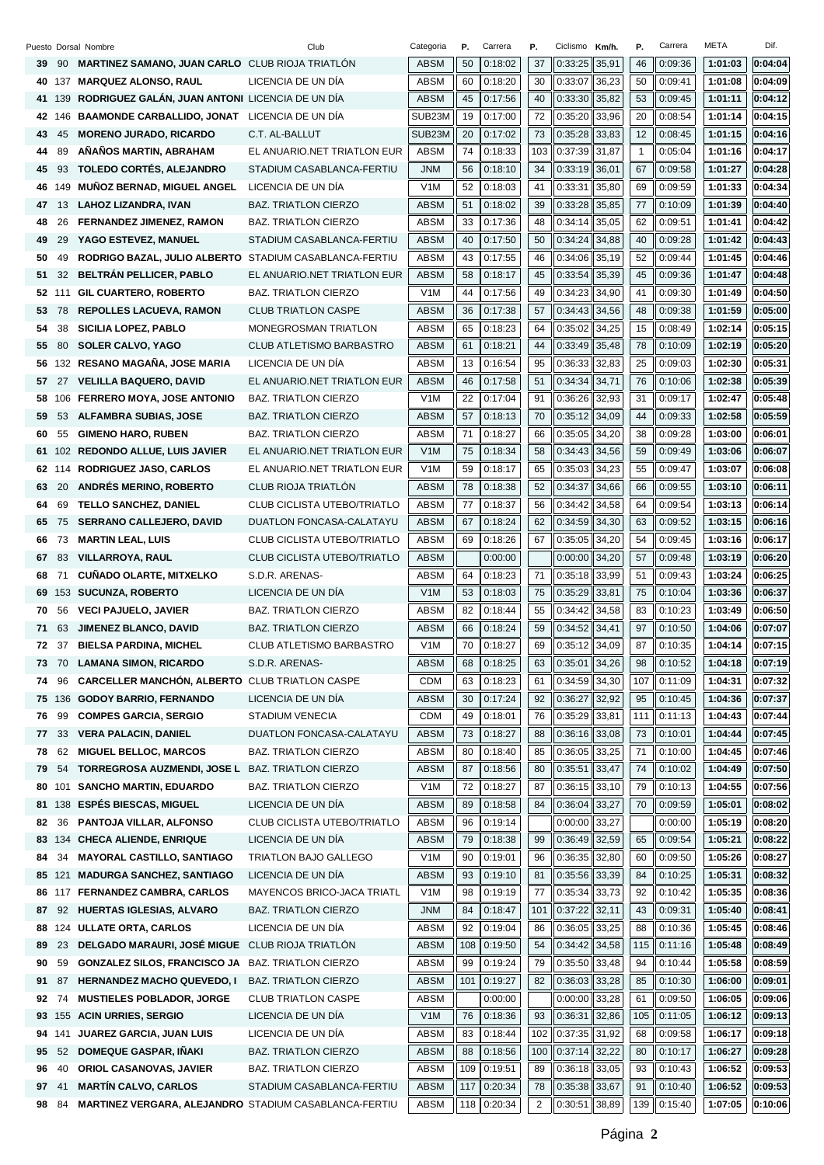|    |        | Puesto Dorsal Nombre                                     | Club                            | Categoria        | Р.  | Carrera | Р.             | Ciclismo        | Km/h. | Ρ.           | Carrera | META    | Dif.    |
|----|--------|----------------------------------------------------------|---------------------------------|------------------|-----|---------|----------------|-----------------|-------|--------------|---------|---------|---------|
| 39 | 90     | MARTINEZ SAMANO, JUAN CARLO CLUB RIOJA TRIATLÓN          |                                 | <b>ABSM</b>      | 50  | 0:18:02 | 37             | 0:33:25         | 35,91 | 46           | 0:09:36 | 1:01:03 | 0:04:04 |
| 40 | 137    | <b>MARQUEZ ALONSO, RAUL</b>                              | LICENCIA DE UN DÍA              | ABSM             | 60  | 0:18:20 | 30             | 0:33:07         | 36,23 | 50           | 0:09:41 | 1:01:08 | 0:04:09 |
| 41 | 139    | RODRIGUEZ GALÁN, JUAN ANTONI LICENCIA DE UN DÍA          |                                 | <b>ABSM</b>      | 45  | 0:17:56 | 40             | 0:33:30         | 35,82 | 53           | 0:09:45 | 1:01:11 | 0:04:12 |
| 42 | 146    | BAAMONDE CARBALLIDO, JONAT LICENCIA DE UN DÍA            |                                 | SUB23M           | 19  | 0:17:00 | 72             | 0:35:20         | 33,96 | 20           | 0:08:54 | 1:01:14 | 0:04:15 |
| 43 | 45     | <b>MORENO JURADO, RICARDO</b>                            | C.T. AL-BALLUT                  | SUB23M           | 20  | 0:17:02 | 73             | 0:35:28         | 33,83 | 12           | 0:08:45 | 1:01:15 | 0:04:16 |
| 44 | 89     | AÑAÑOS MARTIN, ABRAHAM                                   | EL ANUARIO.NET TRIATLON EUR     | ABSM             | 74  | 0:18:33 | 103            | 0:37:39         | 31,87 | $\mathbf{1}$ | 0:05:04 | 1:01:16 | 0:04:17 |
| 45 | 93     | TOLEDO CORTÉS, ALEJANDRO                                 | STADIUM CASABLANCA-FERTIU       | <b>JNM</b>       | 56  | 0:18:10 | 34             | 0:33:19         | 36,01 | 67           | 0:09:58 | 1:01:27 | 0:04:28 |
| 46 | 149    | <b>MUÑOZ BERNAD, MIGUEL ANGEL</b>                        | LICENCIA DE UN DÍA              | V1M              | 52  | 0:18:03 | 41             | 0:33:31         | 35,80 | 69           | 0:09:59 | 1:01:33 | 0:04:34 |
| 47 | 13     | LAHOZ LIZANDRA, IVAN                                     | <b>BAZ. TRIATLON CIERZO</b>     | <b>ABSM</b>      | 51  | 0:18:02 | 39             | 0:33:28         | 35,85 | 77           | 0:10:09 | 1:01:39 | 0:04:40 |
| 48 | 26     | <b>FERNANDEZ JIMENEZ, RAMON</b>                          | <b>BAZ. TRIATLON CIERZO</b>     | ABSM             | 33  | 0:17:36 | 48             | 0:34:14         | 35,05 | 62           | 0:09:51 | 1:01:41 | 0:04:42 |
| 49 | 29     | <b>YAGO ESTEVEZ, MANUEL</b>                              | STADIUM CASABLANCA-FERTIU       | <b>ABSM</b>      | 40  | 0:17:50 | 50             | 0:34:24         | 34,88 | 40           | 0:09:28 | 1:01:42 | 0:04:43 |
| 50 | 49     | RODRIGO BAZAL, JULIO ALBERTO STADIUM CASABLANCA-FERTIU   |                                 | <b>ABSM</b>      | 43  | 0:17:55 | 46             | 0:34:06         | 35,19 | 52           | 0:09:44 | 1:01:45 | 0:04:46 |
| 51 | 32     | <b>BELTRÁN PELLICER, PABLO</b>                           | EL ANUARIO.NET TRIATLON EUR     | ABSM             | 58  | 0:18:17 | 45             | 0:33:54         | 35,39 | 45           | 0:09:36 | 1:01:47 | 0:04:48 |
|    |        | 52 111 GIL CUARTERO, ROBERTO                             | <b>BAZ. TRIATLON CIERZO</b>     | V <sub>1</sub> M | 44  | 0:17:56 | 49             | 0:34:23         | 34,90 | 41           | 0:09:30 | 1:01:49 | 0:04:50 |
|    |        |                                                          |                                 |                  | 36  |         | 57             | 0:34:43         |       | 48           |         |         |         |
| 53 | 78     | <b>REPOLLES LACUEVA, RAMON</b>                           | <b>CLUB TRIATLON CASPE</b>      | <b>ABSM</b>      |     | 0:17:38 |                |                 | 34,56 |              | 0:09:38 | 1:01:59 | 0:05:00 |
| 54 | 38     | SICILIA LOPEZ, PABLO                                     | <b>MONEGROSMAN TRIATLON</b>     | <b>ABSM</b>      | 65  | 0:18:23 | 64             | 0:35:02         | 34,25 | 15           | 0:08:49 | 1:02:14 | 0:05:15 |
| 55 | 80     | <b>SOLER CALVO, YAGO</b>                                 | <b>CLUB ATLETISMO BARBASTRO</b> | <b>ABSM</b>      | 61  | 0:18:21 | 44             | 0:33:49         | 35,48 | 78           | 0:10:09 | 1:02:19 | 0:05:20 |
| 56 |        | 132 RESANO MAGAÑA, JOSE MARIA                            | LICENCIA DE UN DÍA              | ABSM             | 13  | 0:16:54 | 95             | 0:36:33         | 32,83 | 25           | 0:09:03 | 1:02:30 | 0:05:31 |
| 57 | 27     | <b>VELILLA BAQUERO, DAVID</b>                            | EL ANUARIO.NET TRIATLON EUR     | <b>ABSM</b>      | 46  | 0:17:58 | 51             | 0:34:34         | 34,71 | 76           | 0:10:06 | 1:02:38 | 0:05:39 |
| 58 |        | 106 FERRERO MOYA, JOSE ANTONIO                           | <b>BAZ. TRIATLON CIERZO</b>     | V1M              | 22  | 0:17:04 | 91             | 0:36:26         | 32,93 | 31           | 0:09:17 | 1:02:47 | 0:05:48 |
| 59 | 53     | <b>ALFAMBRA SUBIAS, JOSE</b>                             | <b>BAZ. TRIATLON CIERZO</b>     | <b>ABSM</b>      | 57  | 0:18:13 | 70             | 0:35:12         | 34,09 | 44           | 0:09:33 | 1:02:58 | 0:05:59 |
| 60 | 55     | <b>GIMENO HARO, RUBEN</b>                                | <b>BAZ. TRIATLON CIERZO</b>     | ABSM             | 71  | 0:18:27 | 66             | 0:35:05         | 34,20 | 38           | 0:09:28 | 1:03:00 | 0:06:01 |
|    |        | 61 102 REDONDO ALLUE, LUIS JAVIER                        | EL ANUARIO.NET TRIATLON EUR     | V1M              | 75  | 0:18:34 | 58             | 0:34:43         | 34,56 | 59           | 0:09:49 | 1:03:06 | 0:06:07 |
|    |        | 62 114 RODRIGUEZ JASO, CARLOS                            | EL ANUARIO.NET TRIATLON EUR     | V1M              | 59  | 0:18:17 | 65             | 0:35:03         | 34,23 | 55           | 0:09:47 | 1:03:07 | 0:06:08 |
| 63 | 20     | <b>ANDRÉS MERINO, ROBERTO</b>                            | <b>CLUB RIOJA TRIATLON</b>      | <b>ABSM</b>      | 78  | 0:18:38 | 52             | 0:34:37         | 34,66 | 66           | 0:09:55 | 1:03:10 | 0:06:11 |
| 64 | 69     | TELLO SANCHEZ, DANIEL                                    | CLUB CICLISTA UTEBO/TRIATLO     | ABSM             | 77  | 0:18:37 | 56             | 0:34:42         | 34,58 | 64           | 0:09:54 | 1:03:13 | 0:06:14 |
| 65 | 75     | <b>SERRANO CALLEJERO, DAVID</b>                          | DUATLON FONCASA-CALATAYU        | <b>ABSM</b>      | 67  | 0:18:24 | 62             | 0:34:59         | 34,30 | 63           | 0:09:52 | 1:03:15 | 0:06:16 |
| 66 | 73     | <b>MARTIN LEAL, LUIS</b>                                 | CLUB CICLISTA UTEBO/TRIATLO     | <b>ABSM</b>      | 69  | 0:18:26 | 67             | 0:35:05         | 34,20 | 54           | 0:09:45 | 1:03:16 | 0:06:17 |
| 67 | 83     | <b>VILLARROYA, RAUL</b>                                  | CLUB CICLISTA UTEBO/TRIATLO     | <b>ABSM</b>      |     | 0:00:00 |                | 0:00:00         | 34,20 | 57           | 0:09:48 | 1:03:19 | 0:06:20 |
| 68 | 71     | <b>CUÑADO OLARTE, MITXELKO</b>                           | S.D.R. ARENAS-                  | ABSM             | 64  | 0:18:23 | 71             | 0:35:18         | 33,99 | 51           | 0:09:43 | 1:03:24 | 0:06:25 |
|    |        | 69 153 SUCUNZA, ROBERTO                                  | LICENCIA DE UN DIA              | V1M              | 53  | 0:18:03 | 75             | 0:35:29         | 33,81 | 75           | 0:10:04 | 1:03:36 | 0:06:37 |
| 70 | 56     | <b>VECI PAJUELO, JAVIER</b>                              | <b>BAZ. TRIATLON CIERZO</b>     | <b>ABSM</b>      | 82  | 0:18:44 | 55             | 0:34:42         | 34,58 | 83           | 0:10:23 | 1:03:49 | 0:06:50 |
| 71 | 63     | <b>JIMENEZ BLANCO, DAVID</b>                             | <b>BAZ. TRIATLON CIERZO</b>     | <b>ABSM</b>      | 66  | 0:18:24 | 59             | 0:34:52         | 34,41 | 97           | 0:10:50 | 1:04:06 | 0:07:07 |
| 72 |        | 37 BIELSA PARDINA, MICHEL                                | CLUB ATLETISMO BARBASTRO        | V1M              | 70  | 0:18:27 | 69             | 0:35:12         | 34,09 | 87           | 0:10:35 | 1:04:14 | 0:07:15 |
|    | 73 70  | <b>LAMANA SIMON, RICARDO</b>                             | S.D.R. ARENAS-                  | ABSM             | 68  | 0:18:25 | 63             | $0:35:01$ 34,26 |       | 98           | 0:10:52 | 1:04:18 | 0:07:19 |
| 74 | 96     | <b>CARCELLER MANCHON, ALBERTO CLUB TRIATLON CASPE</b>    |                                 | CDM              | 63  | 0:18:23 | 61             | $0:34:59$ 34,30 |       | 107          | 0:11:09 | 1:04:31 | 0:07:32 |
| 75 | 136    | <b>GODOY BARRIO, FERNANDO</b>                            | LICENCIA DE UN DIA              | <b>ABSM</b>      | 30  | 0:17:24 | 92             | 0:36:27         | 32,92 | 95           | 0:10:45 | 1:04:36 | 0:07:37 |
| 76 | 99     | <b>COMPES GARCIA, SERGIO</b>                             | STADIUM VENECIA                 | CDM              | 49  | 0:18:01 | 76             | 0:35:29         | 33,81 | 111          | 0:11:13 | 1:04:43 | 0:07:44 |
| 77 | 33     | <b>VERA PALACIN, DANIEL</b>                              | DUATLON FONCASA-CALATAYU        | ABSM             | 73  | 0:18:27 | 88             | 0:36:16         | 33,08 | 73           | 0:10:01 | 1:04:44 | 0:07:45 |
| 78 | 62     | <b>MIGUEL BELLOC, MARCOS</b>                             | <b>BAZ. TRIATLON CIERZO</b>     | ABSM             | 80  | 0:18:40 | 85             | 0:36:05         | 33,25 | 71           | 0:10:00 | 1:04:45 | 0:07:46 |
| 79 | 54     | <b>TORREGROSA AUZMENDI, JOSE L</b>                       | <b>BAZ. TRIATLON CIERZO</b>     | <b>ABSM</b>      | 87  | 0:18:56 | 80             | 0:35:51         | 33,47 | 74           | 0:10:02 | 1:04:49 | 0:07:50 |
| 80 | 101    | <b>SANCHO MARTIN, EDUARDO</b>                            | <b>BAZ. TRIATLON CIERZO</b>     | V <sub>1</sub> M | 72  | 0:18:27 | 87             | $0:36:15$ 33,10 |       | 79           | 0:10:13 | 1:04:55 | 0:07:56 |
| 81 | 138    | <b>ESPÉS BIESCAS, MIGUEL</b>                             | LICENCIA DE UN DIA              | <b>ABSM</b>      | 89  | 0:18:58 | 84             | 0:36:04         | 33,27 | 70           | 0:09:59 | 1:05:01 | 0:08:02 |
| 82 | 36     | PANTOJA VILLAR, ALFONSO                                  | CLUB CICLISTA UTEBO/TRIATLO     | ABSM             | 96  | 0:19:14 |                | $0:00:00$ 33,27 |       |              | 0:00:00 | 1:05:19 | 0:08:20 |
| 83 | 134    | <b>CHECA ALIENDE, ENRIQUE</b>                            | LICENCIA DE UN DIA              | <b>ABSM</b>      | 79  | 0:18:38 | 99             | 0:36:49         | 32,59 | 65           | 0:09:54 | 1:05:21 | 0:08:22 |
| 84 | 34     | <b>MAYORAL CASTILLO, SANTIAGO</b>                        | TRIATLON BAJO GALLEGO           | V <sub>1</sub> M | 90  | 0:19:01 | 96             | 0:36:35         | 32,80 | 60           | 0:09:50 | 1:05:26 | 0:08:27 |
|    |        |                                                          |                                 |                  |     |         | 81             |                 |       | 84           |         |         |         |
|    | 85 121 | <b>MADURGA SANCHEZ, SANTIAGO</b>                         | LICENCIA DE UN DIA              | <b>ABSM</b>      | 93  | 0:19:10 |                | 0:35:56         | 33,39 |              | 0:10:25 | 1:05:31 | 0:08:32 |
| 86 | 117    | <b>FERNANDEZ CAMBRA, CARLOS</b>                          | MAYENCOS BRICO-JACA TRIATL      | V <sub>1</sub> M | 98  | 0:19:19 | 77             | 0:35:34         | 33,73 | 92           | 0:10:42 | 1:05:35 | 0:08:36 |
| 87 | 92     | HUERTAS IGLESIAS, ALVARO                                 | <b>BAZ. TRIATLON CIERZO</b>     | <b>JNM</b>       | 84  | 0:18:47 | 101            | 0:37:22         | 32,11 | 43           | 0:09:31 | 1:05:40 | 0:08:41 |
| 88 |        | 124 ULLATE ORTA, CARLOS                                  | LICENCIA DE UN DÍA              | <b>ABSM</b>      | 92  | 0:19:04 | 86             | 0:36:05         | 33,25 | 88           | 0:10:36 | 1:05:45 | 0:08:46 |
| 89 | 23     | <b>DELGADO MARAURI, JOSÉ MIGUE</b>                       | <b>CLUB RIOJA TRIATLON</b>      | <b>ABSM</b>      | 108 | 0:19:50 | 54             | 0:34:42         | 34,58 | 115          | 0:11:16 | 1:05:48 | 0:08:49 |
| 90 | 59     | <b>GONZALEZ SILOS, FRANCISCO JA BAZ. TRIATLON CIERZO</b> |                                 | ABSM             | 99  | 0:19:24 | 79             | 0:35:50         | 33,48 | 94           | 0:10:44 | 1:05:58 | 0:08:59 |
| 91 | 87     | <b>HERNANDEZ MACHO QUEVEDO, I</b>                        | <b>BAZ. TRIATLON CIERZO</b>     | <b>ABSM</b>      | 101 | 0:19:27 | 82             | 0:36:03         | 33,28 | 85           | 0:10:30 | 1:06:00 | 0:09:01 |
| 92 | 74     | <b>MUSTIELES POBLADOR, JORGE</b>                         | <b>CLUB TRIATLON CASPE</b>      | <b>ABSM</b>      |     | 0:00:00 |                | 0:00:00         | 33,28 | 61           | 0:09:50 | 1:06:05 | 0:09:06 |
|    | 93 155 | <b>ACIN URRIES, SERGIO</b>                               | LICENCIA DE UN DÍA              | V <sub>1</sub> M | 76  | 0:18:36 | 93             | 0:36:31         | 32,86 | 105          | 0:11:05 | 1:06:12 | 0:09:13 |
| 94 | 141    | JUAREZ GARCIA, JUAN LUIS                                 | LICENCIA DE UN DÍA              | ABSM             | 83  | 0:18:44 | 102            | $0:37:35$ 31,92 |       | 68           | 0:09:58 | 1:06:17 | 0:09:18 |
| 95 | 52     | <b>DOMEQUE GASPAR, IÑAKI</b>                             | <b>BAZ. TRIATLON CIERZO</b>     | <b>ABSM</b>      | 88  | 0:18:56 | 100            | 0:37:14         | 32,22 | 80           | 0:10:17 | 1:06:27 | 0:09:28 |
| 96 | 40     | <b>ORIOL CASANOVAS, JAVIER</b>                           | <b>BAZ. TRIATLON CIERZO</b>     | <b>ABSM</b>      | 109 | 0:19:51 | 89             | $0:36:18$ 33,05 |       | 93           | 0:10:43 | 1:06:52 | 0:09:53 |
| 97 | 41     | <b>MARTIN CALVO, CARLOS</b>                              | STADIUM CASABLANCA-FERTIU       | <b>ABSM</b>      | 117 | 0:20:34 | 78             | $0:35:38$ 33,67 |       | 91           | 0:10:40 | 1:06:52 | 0:09:53 |
| 98 | 84     | MARTINEZ VERGARA, ALEJANDRO STADIUM CASABLANCA-FERTIU    |                                 | ABSM             | 118 | 0:20:34 | $\overline{c}$ | $0:30:51$ 38,89 |       | 139          | 0:15:40 | 1:07:05 | 0:10:06 |